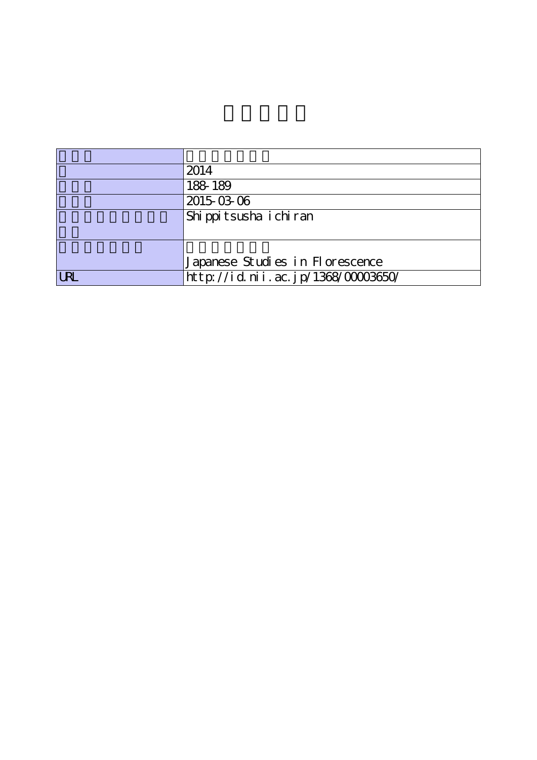|            | 2014                               |
|------------|------------------------------------|
|            | 188-189                            |
|            | 2015-03-06                         |
|            | Shippitsusha ichiran               |
|            |                                    |
|            |                                    |
|            | Japanese Studies in Florescence    |
| <b>URL</b> | http://id.nii.ac.jp/1368/00003650/ |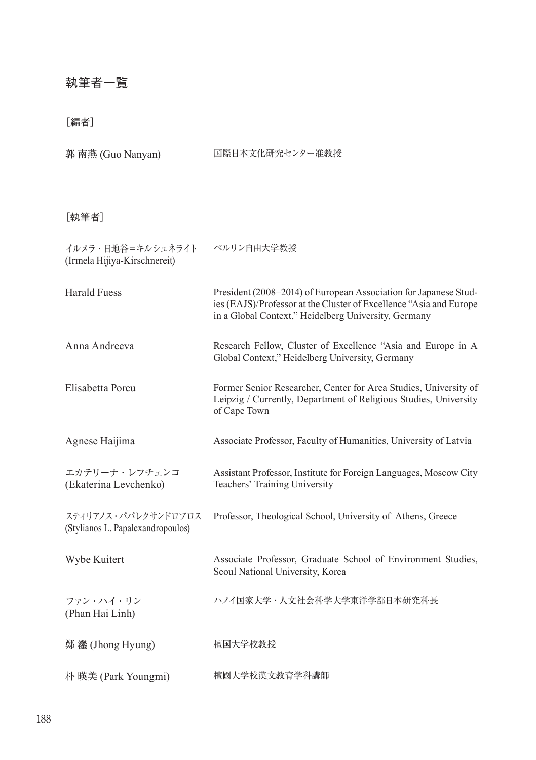## 執筆者一覧

## [編者]

| 郭 南燕 (Guo Nanyan) |  |  |
|-------------------|--|--|
|-------------------|--|--|

国際日本文化研究センター准教授

## [執筆者]

| イルメラ・日地谷=キルシュネライト<br>(Irmela Hijiya-Kirschnereit)        | ベルリン自由大学教授                                                                                                                                                                                     |
|----------------------------------------------------------|------------------------------------------------------------------------------------------------------------------------------------------------------------------------------------------------|
| <b>Harald Fuess</b>                                      | President (2008-2014) of European Association for Japanese Stud-<br>ies (EAJS)/Professor at the Cluster of Excellence "Asia and Europe<br>in a Global Context," Heidelberg University, Germany |
| Anna Andreeva                                            | Research Fellow, Cluster of Excellence "Asia and Europe in A<br>Global Context," Heidelberg University, Germany                                                                                |
| Elisabetta Porcu                                         | Former Senior Researcher, Center for Area Studies, University of<br>Leipzig / Currently, Department of Religious Studies, University<br>of Cape Town                                           |
| Agnese Haijima                                           | Associate Professor, Faculty of Humanities, University of Latvia                                                                                                                               |
| エカテリーナ・レフチェンコ<br>(Ekaterina Levchenko)                   | Assistant Professor, Institute for Foreign Languages, Moscow City<br>Teachers' Training University                                                                                             |
| スティリアノス・パパレクサンドロプロス<br>(Stylianos L. Papalexandropoulos) | Professor, Theological School, University of Athens, Greece                                                                                                                                    |
| Wybe Kuitert                                             | Associate Professor, Graduate School of Environment Studies,<br>Seoul National University, Korea                                                                                               |
| ファン・ハイ・リン<br>(Phan Hai Linh)                             | ハノイ国家大学・人文社会科学大学東洋学部日本研究科長                                                                                                                                                                     |
| 鄭 灐 (Jhong Hyung)                                        | 檀国大学校教授                                                                                                                                                                                        |
| 朴 暎美 (Park Youngmi)                                      | 檀國大学校漢文教育学科講師                                                                                                                                                                                  |